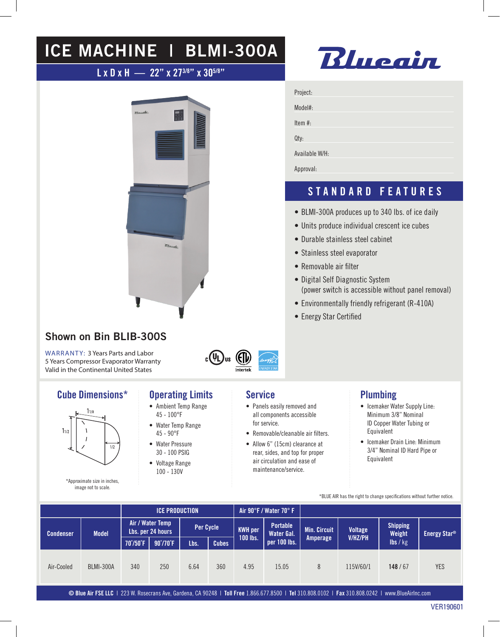# ICE MACHINE | BLMI-300A

### L x D x H — 22" x 273/8" x 305/8"





### Shown on Bin BLIB-300S

WARRANTY: 3 Years Parts and Labor 5 Years Compressor Evaporator Warranty Valid in the Continental United States

### Cube Dimensions\*



\*Approximate size in inches, image not to scale.

 $_{c}$ (V<sub>L</sub>)<sub>us</sub>

- Operating Limits • Ambient Temp Range 45 - 100°F
- Water Temp Range 45 - 90°F
- Water Pressure 30 - 100 PSIG
- Voltage Range 100 - 130V

### Service

- Panels easily removed and all components accessible for service.
- Removable/cleanable air filters.
- Allow 6" (15cm) clearance at rear, sides, and top for proper air circulation and ease of maintenance/service.

### Plumbing

- Icemaker Water Supply Line: Minimum 3/8" Nominal ID Copper Water Tubing or Equivalent
- Icemaker Drain Line: Minimum 3/4" Nominal ID Hard Pipe or Equivalent

\*BLUE AIR has the right to change specifications without further notice.

|                  |                  | <b>ICE PRODUCTION</b>                 |          |           |              | Air 90°F / Water 70° F |                               |                     |                |                              |                          |
|------------------|------------------|---------------------------------------|----------|-----------|--------------|------------------------|-------------------------------|---------------------|----------------|------------------------------|--------------------------|
| <b>Condenser</b> | <b>Model</b>     | Air / Water Temp<br>Lbs. per 24 hours |          | Per Cycle |              | <b>KWH</b> per         | <b>Portable</b><br>Water Gal. | <b>Min. Circuit</b> | <b>Voltage</b> | <b>Shipping</b><br>Weight    | Energy Star <sup>®</sup> |
|                  |                  | 70°/50°F                              | 90°/70°F | Lbs.      | <b>Cubes</b> | 100 lbs.               | per 100 lbs.                  | Amperage            | <b>V/HZ/PH</b> | $\mathsf{lbs} / \mathsf{kg}$ |                          |
| Air-Cooled       | <b>BLMI-300A</b> | 340                                   | 250      | 6.64      | 360          | 4.95                   | 15.05                         | 8                   | 115V/60/1      | 148/67                       | YES                      |

© Blue Air FSE LLC | 223 W. Rosecrans Ave, Gardena, CA 90248 | Toll Free 1.866.677.8500 | Tel 310.808.0102 | Fax 310.808.0242 | www.BlueAirInc.com



Item #:

Qty:

Available W/H:

Approval:

## STANDARD FEATURES

- BLMI-300A produces up to 340 lbs. of ice daily
- Units produce individual crescent ice cubes
- Durable stainless steel cabinet
- Stainless steel evaporator
- Removable air filter
- Digital Self Diagnostic System (power switch is accessible without panel removal)
- Environmentally friendly refrigerant (R-410A)
- Energy Star Certified